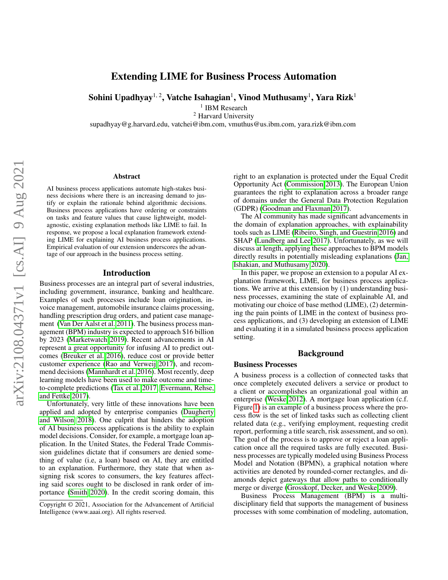# Extending LIME for Business Process Automation

Sohini Upadhyay $^{1,\,2}$ , Vatche Isahagian $^1$ , Vinod Muthusamy $^1$ , Yara Rizk $^1$ 

<sup>1</sup> IBM Research

<sup>2</sup> Harvard University

supadhyay@g.harvard.edu, vatchei@ibm.com, vmuthus@us.ibm.com, yara.rizk@ibm.com

#### Abstract

AI business process applications automate high-stakes business decisions where there is an increasing demand to justify or explain the rationale behind algorithmic decisions. Business process applications have ordering or constraints on tasks and feature values that cause lightweight, modelagnostic, existing explanation methods like LIME to fail. In response, we propose a local explanation framework extending LIME for explaining AI business process applications. Empirical evaluation of our extension underscores the advantage of our approach in the business process setting.

## Introduction

Business processes are an integral part of several industries, including government, insurance, banking and healthcare. Examples of such processes include loan origination, invoice management, automobile insurance claims processing, handling prescription drug orders, and patient case management [\(Van Der Aalst et al. 2011\)](#page-5-0). The business process management (BPM) industry is expected to approach \$16 billion by 2023 [\(Marketwatch 2019\)](#page-5-1). Recent advancements in AI represent a great opportunity for infusing AI to predict outcomes [\(Breuker et al. 2016\)](#page-4-0), reduce cost or provide better customer experience [\(Rao and Verweij 2017\)](#page-5-2), and recommend decisions [\(Mannhardt et al. 2016\)](#page-5-3). Most recently, deep learning models have been used to make outcome and timeto-complete predictions [\(Tax et al. 2017;](#page-5-4) [Evermann, Rehse,](#page-4-1) [and Fettke 2017\)](#page-4-1).

Unfortunately, very little of these innovations have been applied and adopted by enterprise companies [\(Daugherty](#page-4-2) [and Wilson 2018\)](#page-4-2). One culprit that hinders the adoption of AI business process applications is the ability to explain model decisions. Consider, for example, a mortgage loan application. In the United States, the Federal Trade Commission guidelines dictate that if consumers are denied something of value (i.e, a loan) based on AI, they are entitled to an explanation. Furthermore, they state that when assigning risk scores to consumers, the key features affecting said scores ought to be disclosed in rank order of importance [\(Smith 2020\)](#page-5-5). In the credit scoring domain, this

right to an explanation is protected under the Equal Credit Opportunity Act [\(Commission 2013\)](#page-4-3). The European Union guarantees the right to explanation across a broader range of domains under the General Data Protection Regulation (GDPR) [\(Goodman and Flaxman 2017\)](#page-4-4).

The AI community has made significant advancements in the domain of explanation approaches, with explainability tools such as LIME [\(Ribeiro, Singh, and Guestrin 2016\)](#page-5-6) and SHAP [\(Lundberg and Lee 2017\)](#page-5-7). Unfortunately, as we will discuss at length, applying these approaches to BPM models directly results in potentially misleading explanations [\(Jan,](#page-4-5) [Ishakian, and Muthusamy 2020\)](#page-4-5).

In this paper, we propose an extension to a popular AI explanation framework, LIME, for business process applications. We arrive at this extension by (1) understanding business processes, examining the state of explainable AI, and motivating our choice of base method (LIME), (2) determining the pain points of LIME in the context of business process applications, and (3) developing an extension of LIME and evaluating it in a simulated business process application setting.

## Background

#### Business Processes

A business process is a collection of connected tasks that once completely executed delivers a service or product to a client or accomplishes an organizational goal within an enterprise [\(Weske 2012\)](#page-5-8). A mortgage loan application (c.f. Figure [1\)](#page-1-0) is an example of a business process where the process flow is the set of linked tasks such as collecting client related data (e.g., verifying employment, requesting credit report, performing a title search, risk assessment, and so on). The goal of the process is to approve or reject a loan application once all the required tasks are fully executed. Business processes are typically modeled using Business Process Model and Notation (BPMN), a graphical notation where activities are denoted by rounded-corner rectangles, and diamonds depict gateways that allow paths to conditionally merge or diverge [\(Grosskopf, Decker, and Weske 2009\)](#page-4-6).

Business Process Management (BPM) is a multidisciplinary field that supports the management of business processes with some combination of modeling, automation,

Copyright © 2021, Association for the Advancement of Artificial Intelligence (www.aaai.org). All rights reserved.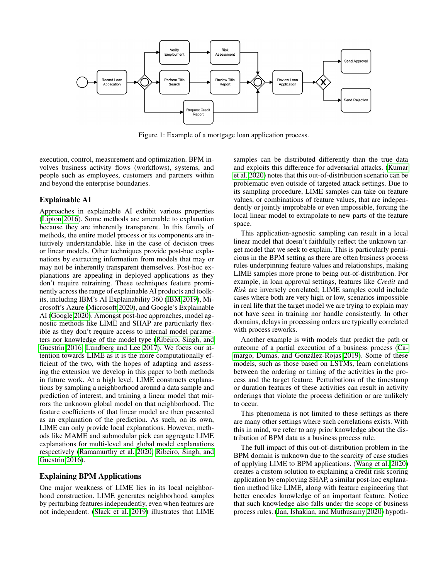<span id="page-1-0"></span>

Figure 1: Example of a mortgage loan application process.

execution, control, measurement and optimization. BPM involves business activity flows (workflows), systems, and people such as employees, customers and partners within and beyond the enterprise boundaries.

## Explainable AI

Approaches in explainable AI exhibit various properties [\(Lipton 2016\)](#page-4-7). Some methods are amenable to explanation because they are inherently transparent. In this family of methods, the entire model process or its components are intuitively understandable, like in the case of decision trees or linear models. Other techniques provide post-hoc explanations by extracting information from models that may or may not be inherently transparent themselves. Post-hoc explanations are appealing in deployed applications as they don't require retraining. These techniques feature prominently across the range of explainable AI products and toolkits, including IBM's AI Explainability 360 [\(IBM 2019\)](#page-4-8), Microsoft's Azure [\(Microsoft 2020\)](#page-5-9), and Google's Explainable AI [\(Google 2020\)](#page-4-9). Amongst post-hoc approaches, model agnostic methods like LIME and SHAP are particularly flexible as they don't require access to internal model parameters nor knowledge of the model type [\(Ribeiro, Singh, and](#page-5-6) [Guestrin 2016;](#page-5-6) [Lundberg and Lee 2017\)](#page-5-7). We focus our attention towards LIME as it is the more computationally efficient of the two, with the hopes of adapting and assessing the extension we develop in this paper to both methods in future work. At a high level, LIME constructs explanations by sampling a neighborhood around a data sample and prediction of interest, and training a linear model that mirrors the unknown global model on that neighborhood. The feature coefficients of that linear model are then presented as an explanation of the prediction. As such, on its own, LIME can only provide local explanations. However, methods like MAME and submodular pick can aggregate LIME explanations for multi-level and global model explanations respectively [\(Ramamurthy et al. 2020;](#page-5-10) [Ribeiro, Singh, and](#page-5-6) [Guestrin 2016\)](#page-5-6).

# Explaining BPM Applications

One major weakness of LIME lies in its local neighborhood construction. LIME generates neighborhood samples by perturbing features independently, even when features are not independent. [\(Slack et al. 2019\)](#page-5-11) illustrates that LIME samples can be distributed differently than the true data and exploits this difference for adversarial attacks. [\(Kumar](#page-4-10) [et al. 2020\)](#page-4-10) notes that this out-of-distribution scenario can be problematic even outside of targeted attack settings. Due to its sampling procedure, LIME samples can take on feature values, or combinations of feature values, that are independently or jointly improbable or even impossible, forcing the local linear model to extrapolate to new parts of the feature space.

This application-agnostic sampling can result in a local linear model that doesn't faithfully reflect the unknown target model that we seek to explain. This is particularly pernicious in the BPM setting as there are often business process rules underpinning feature values and relationships, making LIME samples more prone to being out-of-distribution. For example, in loan approval settings, features like *Credit* and *Risk* are inversely correlated; LIME samples could include cases where both are very high or low, scenarios impossible in real life that the target model we are trying to explain may not have seen in training nor handle consistently. In other domains, delays in processing orders are typically correlated with process reworks.

Another example is with models that predict the path or outcome of a partial execution of a business process [\(Ca](#page-4-11)margo, Dumas, and González-Rojas 2019). Some of these models, such as those based on LSTMs, learn correlations between the ordering or timing of the activities in the process and the target feature. Perturbations of the timestamp or duration features of these activities can result in activity orderings that violate the process definition or are unlikely to occur.

This phenomena is not limited to these settings as there are many other settings where such correlations exists. With this in mind, we refer to any prior knowledge about the distribution of BPM data as a business process rule.

The full impact of this out-of-distribution problem in the BPM domain is unknown due to the scarcity of case studies of applying LIME to BPM applications. [\(Wang et al. 2020\)](#page-5-12) creates a custom solution to explaining a credit risk scoring application by employing SHAP, a similar post-hoc explanation method like LIME, along with feature engineering that better encodes knowledge of an important feature. Notice that such knowledge also falls under the scope of business process rules. [\(Jan, Ishakian, and Muthusamy 2020\)](#page-4-5) hypoth-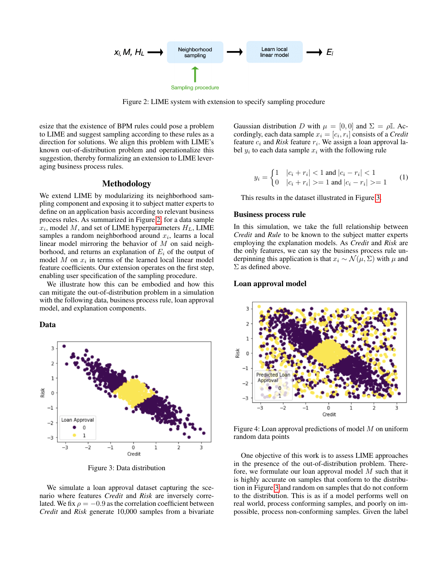<span id="page-2-0"></span>

Figure 2: LIME system with extension to specify sampling procedure

esize that the existence of BPM rules could pose a problem to LIME and suggest sampling according to these rules as a direction for solutions. We align this problem with LIME's known out-of-distribution problem and operationalize this suggestion, thereby formalizing an extension to LIME leveraging business process rules.

# Methodology

We extend LIME by modularizing its neighborhood sampling component and exposing it to subject matter experts to define on an application basis according to relevant business process rules. As summarized in Figure [2,](#page-2-0) for a data sample  $x_i$ , model M, and set of LIME hyperparameters  $H_L$ , LIME samples a random neighborhood around  $x_i$ , learns a local linear model mirroring the behavior of M on said neighborhood, and returns an explanation of  $E_i$  of the output of model  $M$  on  $x_i$  in terms of the learned local linear model feature coefficients. Our extension operates on the first step, enabling user specification of the sampling procedure.

We illustrate how this can be embodied and how this can mitigate the out-of-distribution problem in a simulation with the following data, business process rule, loan approval model, and explanation components.

#### Data

<span id="page-2-1"></span>

Figure 3: Data distribution

We simulate a loan approval dataset capturing the scenario where features *Credit* and *Risk* are inversely correlated. We fix  $\rho = -0.9$  as the correlation coefficient between *Credit* and *Risk* generate 10,000 samples from a bivariate

Gaussian distribution D with  $\mu = [0, 0]$  and  $\Sigma = \rho \mathbb{I}$ . Accordingly, each data sample  $x_i = [c_i, r_i]$  consists of a *Credit* feature  $c_i$  and *Risk* feature  $r_i$ . We assign a loan approval label  $y_i$  to each data sample  $x_i$  with the following rule

$$
y_i = \begin{cases} 1 & |c_i + r_i| < 1 \text{ and } |c_i - r_i| < 1 \\ 0 & |c_i + r_i| > = 1 \text{ and } |c_i - r_i| > = 1 \end{cases} \tag{1}
$$

This results in the dataset illustrated in Figure [3.](#page-2-1)

#### Business process rule

In this simulation, we take the full relationship between *Credit* and *Rule* to be known to the subject matter experts employing the explanation models. As *Credit* and *Risk* are the only features, we can say the business process rule underpinning this application is that  $x_i \sim \mathcal{N}(\mu, \Sigma)$  with  $\mu$  and Σ as defined above.

## Loan approval model

<span id="page-2-2"></span>

Figure 4: Loan approval predictions of model  $M$  on uniform random data points

One objective of this work is to assess LIME approaches in the presence of the out-of-distribution problem. Therefore, we formulate our loan approval model M such that it is highly accurate on samples that conform to the distribution in Figure [3](#page-2-1) and random on samples that do not conform to the distribution. This is as if a model performs well on real world, process conforming samples, and poorly on impossible, process non-conforming samples. Given the label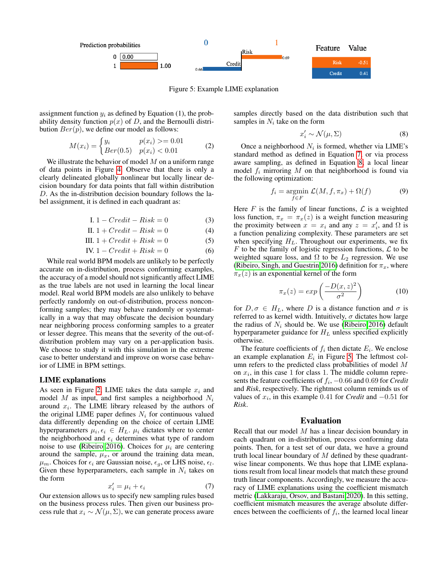<span id="page-3-2"></span>

Figure 5: Example LIME explanation

assignment function  $y_i$  as defined by Equation (1), the probability density function  $p(x)$  of D, and the Bernoulli distribution  $Ber(p)$ , we define our model as follows:

$$
M(x_i) = \begin{cases} y_i & p(x_i) > 0.01 \\ Ber(0.5) & p(x_i) < 0.01 \end{cases}
$$
 (2)

We illustrate the behavior of model  $M$  on a uniform range of data points in Figure [4.](#page-2-2) Observe that there is only a clearly delineated globally nonlinear but locally linear decision boundary for data points that fall within distribution D. As the in-distribution decision boundary follows the label assignment, it is defined in each quadrant as:

$$
I. 1 - Credit - Risk = 0 \tag{3}
$$

II. 
$$
1 + Credit - Risk = 0 \tag{4}
$$

III. 
$$
1 + Credit + Risk = 0
$$
 (5)

IV. 
$$
1 - Credit + Risk = 0
$$
 (6)

While real world BPM models are unlikely to be perfectly accurate on in-distribution, process conforming examples, the accuracy of a model should not significantly affect LIME as the true labels are not used in learning the local linear model. Real world BPM models are also unlikely to behave perfectly randomly on out-of-distribution, process nonconforming samples; they may behave randomly or systematically in a way that may obfuscate the decision boundary near neighboring process conforming samples to a greater or lesser degree. This means that the severity of the out-ofdistribution problem may vary on a per-application basis. We choose to study it with this simulation in the extreme case to better understand and improve on worse case behavior of LIME in BPM settings.

#### LIME explanations

As seen in Figure [2,](#page-2-0) LIME takes the data sample  $x_i$  and model  $M$  as input, and first samples a neighborhood  $N_i$ around  $x_i$ . The LIME library released by the authors of the original LIME paper defines  $N_i$  for continuous valued data differently depending on the choice of certain LIME hyperparameters  $\mu_i, \epsilon_i \in H_L$ .  $\mu_i$  dictates where to center the neighborhood and  $\epsilon_i$  determines what type of random noise to use [\(Ribeiro 2016\)](#page-5-13). Choices for  $\mu_i$  are centering around the sample,  $\mu_x$ , or around the training data mean,  $\mu_m$ . Choices for  $\epsilon_i$  are Gaussian noise,  $\epsilon_g$ , or LHS noise,  $\epsilon_l$ . Given these hyperparameters, each sample in  $N_i$  takes on the form

<span id="page-3-0"></span>
$$
x_i' = \mu_i + \epsilon_i \tag{7}
$$

Our extension allows us to specify new sampling rules based on the business process rules. Then given our business process rule that  $x_i \sim \mathcal{N}(\mu, \Sigma)$ , we can generate process aware samples directly based on the data distribution such that samples in  $N_i$  take on the form

<span id="page-3-1"></span>
$$
x_i' \sim \mathcal{N}(\mu, \Sigma) \tag{8}
$$

Once a neighborhood  $N_i$  is formed, whether via LIME's standard method as defined in Equation [7,](#page-3-0) or via process aware sampling, as defined in Equation [8,](#page-3-1) a local linear model  $f_i$  mirroring M on that neighborhood is found via the following optimization:

$$
f_i = \underset{f \in F}{\text{argmin}} \ \mathcal{L}(M, f, \pi_x) + \Omega(f) \tag{9}
$$

<span id="page-3-3"></span>Here  $F$  is the family of linear functions,  $\mathcal L$  is a weighted loss function,  $\pi_x = \pi_x(z)$  is a weight function measuring the proximity between  $x = x_i$  and any  $z = x'_i$ , and  $\Omega$  is a function penalizing complexity. These parameters are set when specifying  $H_L$ . Throughout our experiments, we fix  $F$  to be the family of logistic regression functions,  $\mathcal L$  to be weighted square loss, and  $\Omega$  to be  $L_2$  regression. We use [\(Ribeiro, Singh, and Guestrin 2016\)](#page-5-6) definition for  $\pi_x$ , where  $\pi_x(z)$  is an exponential kernel of the form

$$
\pi_x(z) = \exp\left(\frac{-D(x,z)^2}{\sigma^2}\right) \tag{10}
$$

for  $D, \sigma \in H_L$ , where D is a distance function and  $\sigma$  is referred to as kernel width. Intuitively,  $\sigma$  dictates how large the radius of  $N_i$  should be. We use [\(Ribeiro 2016\)](#page-5-13) default hyperparameter guidance for  $H_L$  unless specified explicitly otherwise.

The feature coefficients of  $f_i$  then dictate  $E_i$ . We enclose an example explanation  $E_i$  in Figure [5.](#page-3-2) The leftmost column refers to the predicted class probabilities of model M on  $x_i$ , in this case 1 for class 1. The middle column represents the feature coefficients of  $f_i$ ,  $-0.66$  and 0.69 for *Credit* and *Risk*, respectively. The rightmost column reminds us of values of  $x_i$ , in this example 0.41 for *Credit* and  $-0.51$  for *Risk*.

## Evaluation

Recall that our model  $M$  has a linear decision boundary in each quadrant on in-distribution, process conforming data points. Then, for a test set of our data, we have a ground truth local linear boundary of  $M$  defined by these quadrantwise linear components. We thus hope that LIME explanations result from local linear models that match these ground truth linear components. Accordingly, we measure the accuracy of LIME explanations using the coefficient mismatch metric [\(Lakkaraju, Orsov, and Bastani 2020\)](#page-4-12). In this setting, coefficient mismatch measures the average absolute differences between the coefficients of  $f_i$ , the learned local linear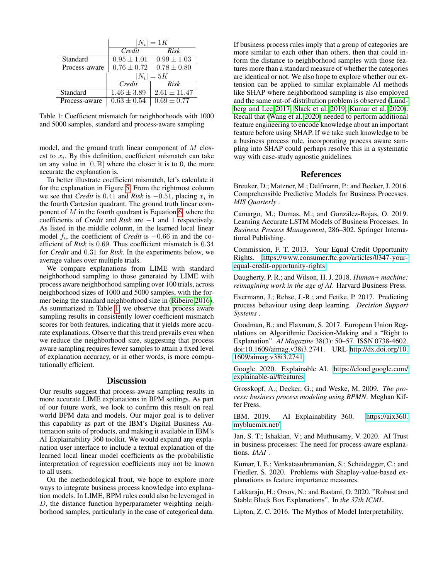<span id="page-4-13"></span>

|               | $ N_i =1K$      |                  |
|---------------|-----------------|------------------|
|               | $Credi\bar{t}$  | Risk             |
| Standard      | $0.95 \pm 1.01$ | $0.99 \pm 1.03$  |
| Process-aware | $0.76 \pm 0.72$ | $0.78 \pm 0.80$  |
|               | $ N_i =5K$      |                  |
|               | Credit          | Risk             |
| Standard      | $1.46 \pm 3.89$ | $2.61 \pm 11.47$ |
| Process-aware | $0.63 \pm 0.54$ | $0.69 \pm 0.77$  |

Table 1: Coefficient mismatch for neighborhoods with 1000 and 5000 samples, standard and process-aware sampling

model, and the ground truth linear component of M closest to  $x_i$ . By this definition, coefficient mismatch can take on any value in  $[0, \mathbb{R}]$  where the closer it is to 0, the more accurate the explanation is.

To better illustrate coefficient mismatch, let's calculate it for the explanation in Figure [5.](#page-3-2) From the rightmost column we see that *Credit* is 0.41 and *Risk* is  $-0.51$ , placing  $x_i$  in the fourth Cartesian quadrant. The ground truth linear component of  $M$  in the fourth quadrant is Equation [6,](#page-3-3) where the coefficients of *Credit* and *Risk* are −1 and 1 respectively. As listed in the middle column, in the learned local linear model  $f_i$ , the coefficient of *Credit* is  $-0.66$  in and the coefficient of *Risk* is 0.69. Thus coefficient mismatch is 0.34 for *Credit* and 0.31 for *Risk*. In the experiments below, we average values over multiple trials.

We compare explanations from LIME with standard neighborhood sampling to those generated by LIME with process aware neighborhood sampling over 100 trials, across neighborhood sizes of 1000 and 5000 samples, with the former being the standard neighborhood size in [\(Ribeiro 2016\)](#page-5-13). As summarized in Table [1,](#page-4-13) we observe that process aware sampling results in consistently lower coefficient mismatch scores for both features, indicating that it yields more accurate explanations. Observe that this trend prevails even when we reduce the neighborhood size, suggesting that process aware sampling requires fewer samples to attain a fixed level of explanation accuracy, or in other words, is more computationally efficient.

## **Discussion**

Our results suggest that process-aware sampling results in more accurate LIME explanations in BPM settings. As part of our future work, we look to confirm this result on real world BPM data and models. Our major goal is to deliver this capability as part of the IBM's Digital Business Automation suite of products, and making it available in IBM's AI Explainability 360 toolkit. We would expand any explanation user interface to include a textual explanation of the learned local linear model coefficients as the probabilistic interpretation of regression coefficients may not be known to all users.

On the methodological front, we hope to explore more ways to integrate business process knowledge into explanation models. In LIME, BPM rules could also be leveraged in D, the distance function hyperparameter weighting neighborhood samples, particularly in the case of categorical data.

If business process rules imply that a group of categories are more similar to each other than others, then that could inform the distance to neighborhood samples with those features more than a standard measure of whether the categories are identical or not. We also hope to explore whether our extension can be applied to similar explainable AI methods like SHAP where neighborhood sampling is also employed and the same out-of-distribution problem is observed [\(Lund](#page-5-7)[berg and Lee 2017;](#page-5-7) [Slack et al. 2019;](#page-5-11) [Kumar et al. 2020\)](#page-4-10). Recall that [\(Wang et al. 2020\)](#page-5-12) needed to perform additional feature engineering to encode knowledge about an important feature before using SHAP. If we take such knowledge to be a business process rule, incorporating process aware sampling into SHAP could perhaps resolve this in a systematic way with case-study agnostic guidelines.

## References

<span id="page-4-0"></span>Breuker, D.; Matzner, M.; Delfmann, P.; and Becker, J. 2016. Comprehensible Predictive Models for Business Processes. *MIS Quarterly* .

<span id="page-4-11"></span>Camargo, M.; Dumas, M.; and González-Rojas, O. 2019. Learning Accurate LSTM Models of Business Processes. In *Business Process Management*, 286–302. Springer International Publishing.

<span id="page-4-3"></span>Commission, F. T. 2013. Your Equal Credit Opportunity Rights. [https://www.consumer.ftc.gov/articles/0347-your](https://www.consumer.ftc.gov/articles/0347-your-equal-credit-opportunity-rights)[equal-credit-opportunity-rights.](https://www.consumer.ftc.gov/articles/0347-your-equal-credit-opportunity-rights)

<span id="page-4-2"></span>Daugherty, P. R.; and Wilson, H. J. 2018. *Human+ machine: reimagining work in the age of AI*. Harvard Business Press.

<span id="page-4-1"></span>Evermann, J.; Rehse, J.-R.; and Fettke, P. 2017. Predicting process behaviour using deep learning. *Decision Support Systems* .

<span id="page-4-4"></span>Goodman, B.; and Flaxman, S. 2017. European Union Regulations on Algorithmic Decision-Making and a "Right to Explanation". *AI Magazine* 38(3): 50–57. ISSN 0738-4602. doi:10.1609/aimag.v38i3.2741. URL [http://dx.doi.org/10.](http://dx.doi.org/10.1609/aimag.v38i3.2741) [1609/aimag.v38i3.2741.](http://dx.doi.org/10.1609/aimag.v38i3.2741)

<span id="page-4-9"></span>Google. 2020. Explainable AI. [https://cloud.google.com/](https://cloud.google.com/explainable-ai/#features) [explainable-ai/#features.](https://cloud.google.com/explainable-ai/#features)

<span id="page-4-6"></span>Grosskopf, A.; Decker, G.; and Weske, M. 2009. *The process: business process modeling using BPMN*. Meghan Kiffer Press.

<span id="page-4-8"></span>IBM. 2019. AI Explainability 360. [https://aix360.]( https://aix360.mybluemix.net/) [mybluemix.net/.]( https://aix360.mybluemix.net/)

<span id="page-4-5"></span>Jan, S. T.; Ishakian, V.; and Muthusamy, V. 2020. AI Trust in business processes: The need for process-aware explanations. *IAAI* .

<span id="page-4-10"></span>Kumar, I. E.; Venkatasubramanian, S.; Scheidegger, C.; and Friedler, S. 2020. Problems with Shapley-value-based explanations as feature importance measures.

<span id="page-4-12"></span>Lakkaraju, H.; Orsov, N.; and Bastani, O. 2020. "Robust and Stable Black Box Explanations". In *the 37th ICML*.

<span id="page-4-7"></span>Lipton, Z. C. 2016. The Mythos of Model Interpretability.